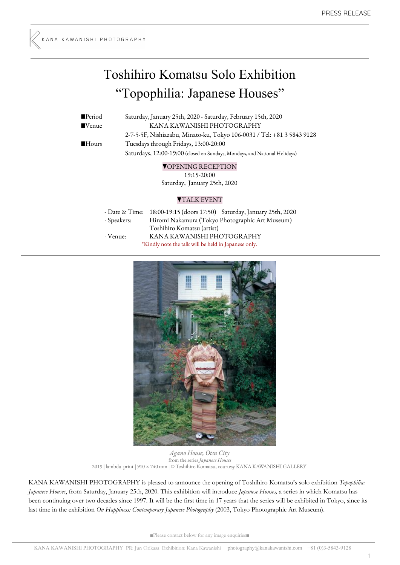# Toshihiro Komatsu Solo Exhibition "Topophilia: Japanese Houses"

■Period Saturday, January 25th, 2020 - Saturday, February 15th, 2020 ■Venue KANA KAWANISHI PHOTOGRAPHY 2-7-5-5F, Nishiazabu, Minato-ku, Tokyo 106-0031 / Tel: +81 3 5843 9128 ■Hours Tuesdays through Fridays, 13:00-20:00 Saturdays, 12:00-19:00 (closed on Sundays, Mondays, and National Holidays)

## ▼OPENING RECEPTION

19:15-20:00 Saturday, January 25th, 2020

## ▼TALK EVENT

|             | - Date & Time: 18:00-19:15 (doors 17:50) Saturday, January 25th, 2020 |
|-------------|-----------------------------------------------------------------------|
| - Speakers: | Hiromi Nakamura (Tokyo Photographic Art Museum)                       |
|             | Toshihiro Komatsu (artist)                                            |
| - Venue:    | KANA KAWANISHI PHOTOGRAPHY                                            |
|             | *Kindly note the talk will be held in Japanese only.                  |



*Agano House, Otsu City* from the series *Japanese Houses* 2019 | lambda print | 910 × 740 mm | © Toshihiro Komatsu, courtesy KANA KAWANISHI GALLERY

KANA KAWANISHI PHOTOGRAPHY is pleased to announce the opening of Toshihiro Komatsu's solo exhibition *Topophilia: Japanese Houses*, from Saturday, January 25th, 2020. This exhibition will introduce *Japanese Houses,* a series in which Komatsu has been continuing over two decades since 1997. It will be the first time in 17 years that the series will be exhibited in Tokyo, since its last time in the exhibition *On Happiness: Contemporary Japanese Photography* (2003, Tokyo Photographic Art Museum).

■Please contact below for any image enquiries■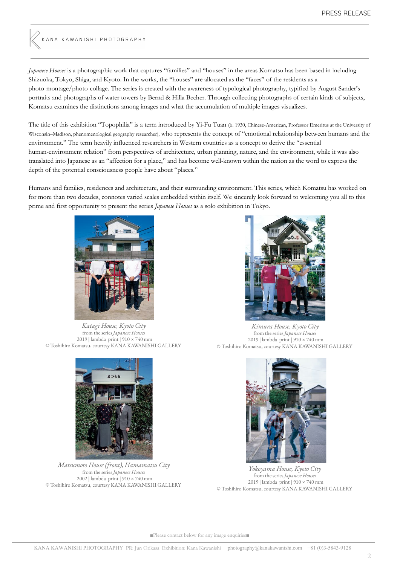.<br>KANA KAWANISHI PHOTOGRAPHY

*Japanese Houses* is a photographic work that captures "families" and "houses" in the areas Komatsu has been based in including Shizuoka, Tokyo, Shiga, and Kyoto. In the works, the "houses" are allocated as the "faces" of the residents as a photo-montage/photo-collage. The series is created with the awareness of typological photography, typified by August Sander's portraits and photographs of water towers by Bernd & Hilla Becher. Through collecting photographs of certain kinds of subjects, Komatsu examines the distinctions among images and what the accumulation of multiple images visualizes.

The title of this exhibition "Topophilia" is a term introduced by Yi-Fu Tuan (b. 1930, Chinese-American, Professor Emeritus at the University of Wisconsin–Madison, phenomenological geography researcher), who represents the concept of "emotional relationship between humans and the environment." The term heavily influenced researchers in Western countries as a concept to derive the "essential human-environment relation" from perspectives of architecture, urban planning, nature, and the environment, while it was also translated into Japanese as an "affection for a place," and has become well-known within the nation as the word to express the depth of the potential consciousness people have about "places."

Humans and families, residences and architecture, and their surrounding environment. This series, which Komatsu has worked on for more than two decades, connotes varied scales embedded within itself. We sincerely look forward to welcoming you all to this prime and first opportunity to present the series *Japanese Houses* as a solo exhibition in Tokyo.



*Katagi House, Kyoto City* from the series *Japanese Houses* 2019 | lambda print | 910 × 740 mm © Toshihiro Komatsu, courtesy KANA KAWANISHI GALLERY



*Matsumoto House (front), Hamamatsu City* from the series *Japanese Houses* 2002 | lambda print | 910 × 740 mm © Toshihiro Komatsu, courtesy KANA KAWANISHI GALLERY

*Kimura House, Kyoto City* from the series *Japanese Houses* 2019 | lambda print | 910 × 740 mm © Toshihiro Komatsu, courtesy KANA KAWANISHI GALLERY



*Yokoyama House, Kyoto City* from the series *Japanese Houses* 2019 | lambda print | 910 × 740 mm © Toshihiro Komatsu, courtesy KANA KAWANISHI GALLERY